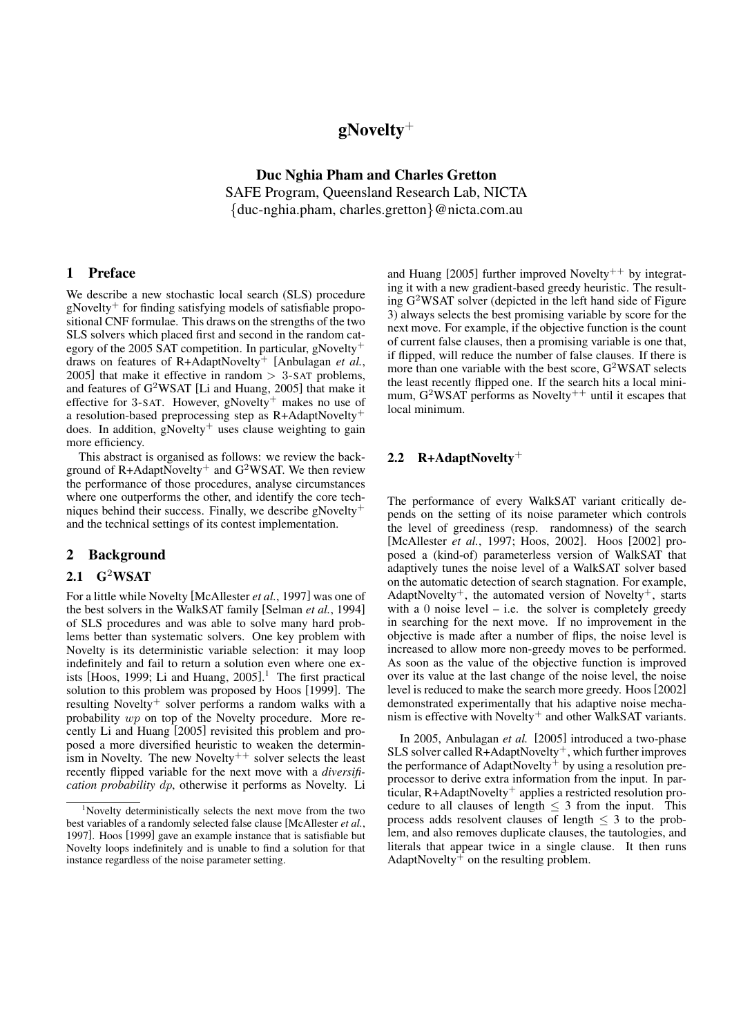# $g$ Novelty<sup>+</sup>

Duc Nghia Pham and Charles Gretton SAFE Program, Queensland Research Lab, NICTA {duc-nghia.pham, charles.gretton}@nicta.com.au

#### 1 Preface

We describe a new stochastic local search (SLS) procedure  $gNovelty$ <sup>+</sup> for finding satisfying models of satisfiable propositional CNF formulae. This draws on the strengths of the two SLS solvers which placed first and second in the random category of the 2005 SAT competition. In particular, gNovelty<sup>+</sup> draws on features of R+AdaptNovelty<sup>+</sup> [Anbulagan *et al.*, 2005] that make it effective in random  $> 3$ -SAT problems, and features of G<sup>2</sup>WSAT [Li and Huang, 2005] that make it effective for 3-SAT. However, gNovelty<sup>+</sup> makes no use of a resolution-based preprocessing step as R+AdaptNovelty<sup>+</sup> does. In addition,  $g$ Novelty<sup>+</sup> uses clause weighting to gain more efficiency.

This abstract is organised as follows: we review the background of R+AdaptNovelty<sup>+</sup> and  $G<sup>2</sup>WSAT$ . We then review the performance of those procedures, analyse circumstances where one outperforms the other, and identify the core techniques behind their success. Finally, we describe gNovelty<sup>+</sup> and the technical settings of its contest implementation.

#### 2 Background

#### 2.1  $G^2WSAT$

For a little while Novelty [McAllester *et al.*, 1997] was one of the best solvers in the WalkSAT family [Selman *et al.*, 1994] of SLS procedures and was able to solve many hard problems better than systematic solvers. One key problem with Novelty is its deterministic variable selection: it may loop indefinitely and fail to return a solution even where one exists [Hoos, 1999; Li and Huang, 2005]. <sup>1</sup> The first practical solution to this problem was proposed by Hoos [1999]. The resulting Novelty<sup>+</sup> solver performs a random walks with a probability wp on top of the Novelty procedure. More recently Li and Huang [2005] revisited this problem and proposed a more diversified heuristic to weaken the determinism in Novelty. The new Novelty<sup>++</sup> solver selects the least recently flipped variable for the next move with a *diversification probability* dp, otherwise it performs as Novelty. Li

and Huang  $[2005]$  further improved Novelty<sup>++</sup> by integrating it with a new gradient-based greedy heuristic. The resulting G<sup>2</sup>WSAT solver (depicted in the left hand side of Figure 3) always selects the best promising variable by score for the next move. For example, if the objective function is the count of current false clauses, then a promising variable is one that, if flipped, will reduce the number of false clauses. If there is more than one variable with the best score,  $G^2WSAT$  selects the least recently flipped one. If the search hits a local minimum,  $G^2WSAT$  performs as Novelty<sup>++</sup> until it escapes that local minimum.

# 2.2 R+AdaptNovelty<sup>+</sup>

The performance of every WalkSAT variant critically depends on the setting of its noise parameter which controls the level of greediness (resp. randomness) of the search [McAllester *et al.*, 1997; Hoos, 2002]. Hoos [2002] proposed a (kind-of) parameterless version of WalkSAT that adaptively tunes the noise level of a WalkSAT solver based on the automatic detection of search stagnation. For example, AdaptNovelty<sup>+</sup>, the automated version of Novelty<sup>+</sup>, starts with a  $0$  noise level  $-$  i.e. the solver is completely greedy in searching for the next move. If no improvement in the objective is made after a number of flips, the noise level is increased to allow more non-greedy moves to be performed. As soon as the value of the objective function is improved over its value at the last change of the noise level, the noise level is reduced to make the search more greedy. Hoos [2002] demonstrated experimentally that his adaptive noise mechanism is effective with  $Novelty$ <sup>+</sup> and other WalkSAT variants.

In 2005, Anbulagan *et al.* [2005] introduced a two-phase SLS solver called  $R+AdaptNovelty^+$ , which further improves the performance of AdaptNovelty<sup>+</sup> by using a resolution preprocessor to derive extra information from the input. In particular, R+AdaptNovelty<sup>+</sup> applies a restricted resolution procedure to all clauses of length  $\leq$  3 from the input. This process adds resolvent clauses of length  $\leq$  3 to the problem, and also removes duplicate clauses, the tautologies, and literals that appear twice in a single clause. It then runs AdaptNovelty<sup>+</sup> on the resulting problem.

<sup>&</sup>lt;sup>1</sup>Novelty deterministically selects the next move from the two best variables of a randomly selected false clause [McAllester *et al.*, 1997]. Hoos [1999] gave an example instance that is satisfiable but Novelty loops indefinitely and is unable to find a solution for that instance regardless of the noise parameter setting.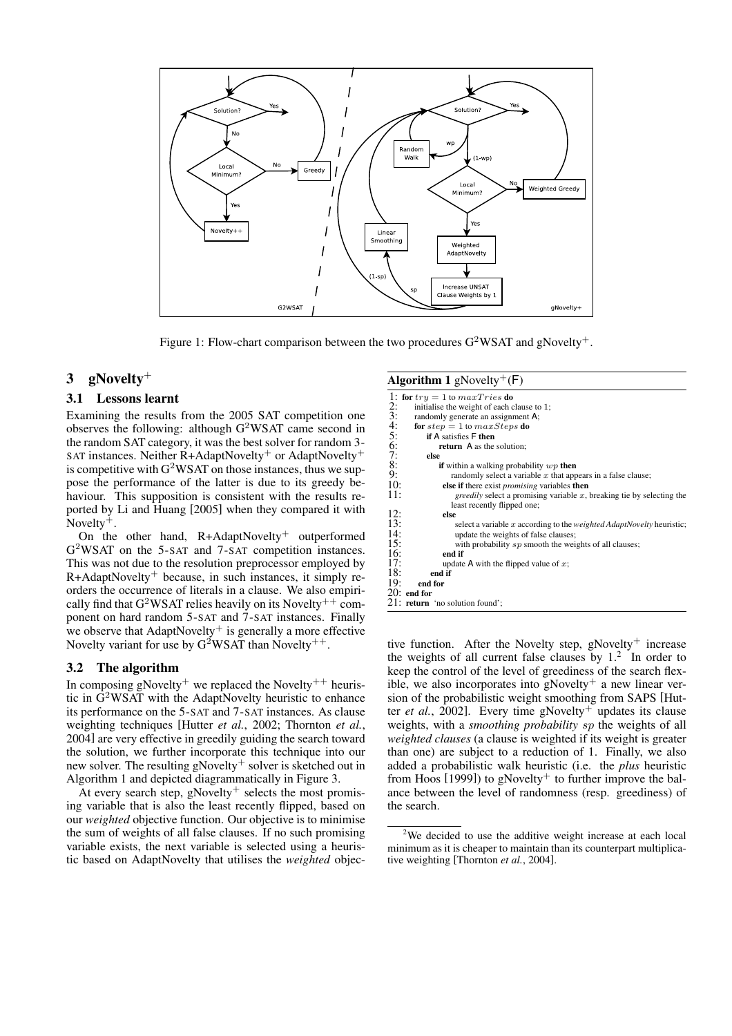

Figure 1: Flow-chart comparison between the two procedures  $G^2WSAT$  and gNovelty<sup>+</sup>.

Algorithm  $1 - N_2$   $\frac{1}{2}$   $\left(\frac{1}{2}\right)$ 

# 3 gNovelty<sup>+</sup>

#### 3.1 Lessons learnt

Examining the results from the 2005 SAT competition one observes the following: although G<sup>2</sup>WSAT came second in the random SAT category, it was the best solver for random 3- SAT instances. Neither R+AdaptNovelty<sup>+</sup> or AdaptNovelty<sup>+</sup> is competitive with  $G^2WSAT$  on those instances, thus we suppose the performance of the latter is due to its greedy behaviour. This supposition is consistent with the results reported by Li and Huang [2005] when they compared it with Novelty<sup>+</sup>.

On the other hand, R+AdaptNovelty<sup>+</sup> outperformed G <sup>2</sup>WSAT on the 5-SAT and 7-SAT competition instances. This was not due to the resolution preprocessor employed by  $R+AdaptNovelty^+$  because, in such instances, it simply reorders the occurrence of literals in a clause. We also empirically find that  $G^2WSAT$  relies heavily on its Novelty<sup>++</sup> component on hard random 5-SAT and 7-SAT instances. Finally we observe that  $AdaptNovelty^+$  is generally a more effective Novelty variant for use by  $G^2WSAT$  than Novelty<sup>++</sup>.

# 3.2 The algorithm

In composing gNovelty<sup>+</sup> we replaced the Novelty<sup>++</sup> heuristic in G<sup>2</sup>WSAT with the AdaptNovelty heuristic to enhance its performance on the 5-SAT and 7-SAT instances. As clause weighting techniques [Hutter *et al.*, 2002; Thornton *et al.*, 2004] are very effective in greedily guiding the search toward the solution, we further incorporate this technique into our new solver. The resulting gNovelty<sup>+</sup> solver is sketched out in Algorithm 1 and depicted diagrammatically in Figure 3.

At every search step, gNovelty<sup>+</sup> selects the most promising variable that is also the least recently flipped, based on our *weighted* objective function. Our objective is to minimise the sum of weights of all false clauses. If no such promising variable exists, the next variable is selected using a heuristic based on AdaptNovelty that utilises the *weighted* objec-

| <b>AIGUILIIIII 1</b> GINOVEILY $(F)$                                                |  |
|-------------------------------------------------------------------------------------|--|
| 1: for $try = 1$ to $maxTries$ do                                                   |  |
| 2:<br>initialise the weight of each clause to 1;                                    |  |
| 3:<br>randomly generate an assignment A;                                            |  |
| 4:<br>for $step = 1$ to $maxSteps$ do                                               |  |
| 5:<br><b>if</b> A satisfies <b>F</b> then                                           |  |
| 6:<br><b>return</b> A as the solution;                                              |  |
| 7:<br>else                                                                          |  |
| 8:<br>if within a walking probability $wp$ then                                     |  |
| 9:<br>randomly select a variable $x$ that appears in a false clause;                |  |
| 10:<br>else if there exist <i>promising</i> variables then                          |  |
| 11:<br><i>greedily</i> select a promising variable x, breaking tie by selecting the |  |
| least recently flipped one;                                                         |  |
| 12:<br>else                                                                         |  |
| 13:<br>select a variable x according to the <i>weighted AdaptNovelty</i> heuristic; |  |
| 14:<br>update the weights of false clauses;                                         |  |
| 15:<br>with probability sp smooth the weights of all clauses;                       |  |
| 16:<br>end if                                                                       |  |
| 17:<br>update A with the flipped value of $x$ ;                                     |  |
| 18:<br>end if                                                                       |  |
| 19:<br>end for                                                                      |  |
| $20:$ end for                                                                       |  |
| 21: <b>return</b> 'no solution found';                                              |  |
|                                                                                     |  |

tive function. After the Novelty step, gNovelty<sup>+</sup> increase the weights of all current false clauses by  $1<sup>2</sup>$ . In order to keep the control of the level of greediness of the search flexible, we also incorporates into gNovelty<sup>+</sup> a new linear version of the probabilistic weight smoothing from SAPS [Hutter *et al.*, 2002]. Every time  $g$ Novelty<sup>+</sup> updates its clause weights, with a *smoothing probability* sp the weights of all *weighted clauses* (a clause is weighted if its weight is greater than one) are subject to a reduction of 1. Finally, we also added a probabilistic walk heuristic (i.e. the *plus* heuristic from Hoos  $[1999]$ ) to gNovelty<sup>+</sup> to further improve the balance between the level of randomness (resp. greediness) of the search.

<sup>&</sup>lt;sup>2</sup>We decided to use the additive weight increase at each local minimum as it is cheaper to maintain than its counterpart multiplicative weighting [Thornton *et al.*, 2004].